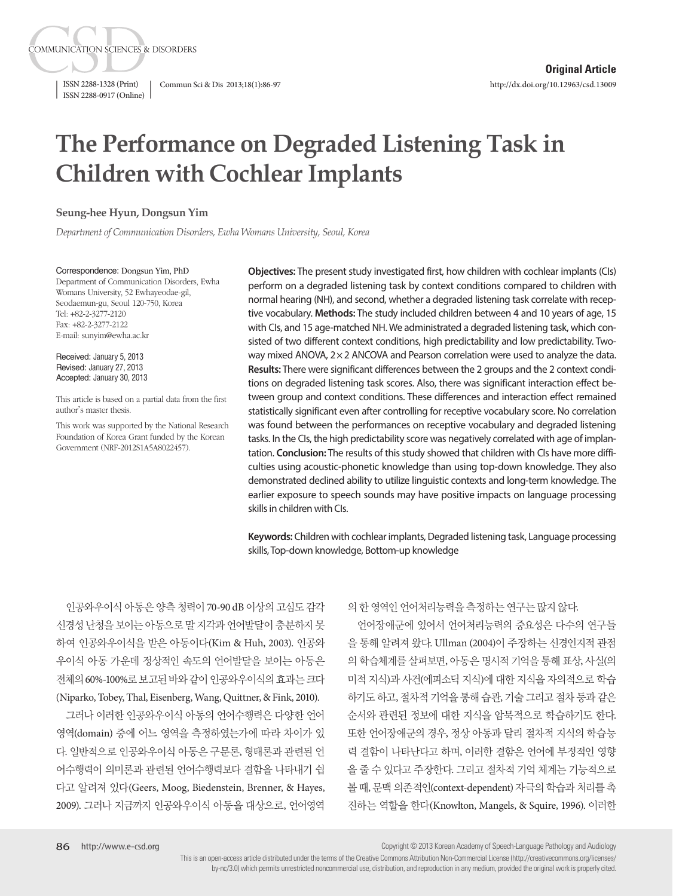ISSN 2288-1328 (Print) Commun Sci & Dis 2013;18(1):86-97 ISSN 2288-0917 (Online)

**COMMUNICATION SCIENCES & DISORDERS** 

# **The Performance on Degraded Listening Task in Children with Cochlear Implants**

#### **Seung-hee Hyun, Dongsun Yim**

*Department of Communication Disorders, Ewha Womans University, Seoul, Korea*

Correspondence: Dongsun Yim, PhD Department of Communication Disorders, Ewha Womans University, 52 Ewhayeodae-gil, Seodaemun-gu, Seoul 120-750, Korea Tel: +82-2-3277-2120 Fax: +82-2-3277-2122 E-mail: sunyim@ewha.ac.kr

Received: January 5, 2013 Revised: January 27, 2013 Accepted: January 30, 2013

This article is based on a partial data from the first author's master thesis.

This work was supported by the National Research Foundation of Korea Grant funded by the Korean Government (NRF-2012S1A5A8022457).

**Objectives:** The present study investigated first, how children with cochlear implants (CIs) perform on a degraded listening task by context conditions compared to children with normal hearing (NH), and second, whether a degraded listening task correlate with receptive vocabulary. **Methods:** The study included children between 4 and 10 years of age, 15 with CIs, and 15 age-matched NH. We administrated a degraded listening task, which consisted of two different context conditions, high predictability and low predictability. Twoway mixed ANOVA,  $2\times 2$  ANCOVA and Pearson correlation were used to analyze the data. **Results:** There were significant differences between the 2 groups and the 2 context conditions on degraded listening task scores. Also, there was significant interaction effect between group and context conditions. These differences and interaction effect remained statistically significant even after controlling for receptive vocabulary score. No correlation was found between the performances on receptive vocabulary and degraded listening tasks. In the CIs, the high predictability score was negatively correlated with age of implantation. **Conclusion:** The results of this study showed that children with CIs have more difficulties using acoustic-phonetic knowledge than using top-down knowledge. They also demonstrated declined ability to utilize linguistic contexts and long-term knowledge. The earlier exposure to speech sounds may have positive impacts on language processing skills in children with CIs.

**Keywords:** Children with cochlear implants, Degraded listening task, Language processing skills, Top-down knowledge, Bottom-up knowledge

인공와우이식 아동은 양측 청력이 70-90 dB 이상의 고심도 감각 신경성난청을보이는아동으로말지각과언어발달이충분하지못 하여 인공와우이식을 받은 아동이다(Kim & Huh, 2003). 인공와 우이식 아동 가운데 정상적인 속도의 언어발달을 보이는 아동은 전체의 60%-100%로보고된바와같이인공와우이식의효과는크다 (Niparko, Tobey, Thal, Eisenberg, Wang, Quittner, & Fink, 2010).

그러나 이러한 인공와우이식 아동의 언어수행력은 다양한 언어 영역(domain) 중에 어느 영역을 측정하였는가에 따라 차이가 있 다. 일반적으로 인공와우이식 아동은 구문론, 형태론과 관련된 언 어수행력이 의미론과 관련된 언어수행력보다 결함을 나타내기 쉽 다고 알려져 있다(Geers, Moog, Biedenstein, Brenner, & Hayes, 2009). 그러나 지금까지 인공와우이식 아동을 대상으로, 언어영역 의 한 영역인 언어처리능력을 측정하는 연구는 많지 않다.

언어장애군에 있어서 언어처리능력의 중요성은 다수의 연구들 을 통해 알려져 왔다. Ullman (2004)이 주장하는 신경인지적 관점 의 학습체계를 살펴보면, 아동은 명시적 기억을 통해 표상, 사실(의 미적 지식)과 사건(에피소딕 지식)에 대한 지식을 자의적으로 학습 하기도 하고, 절차적 기억을 통해 습관, 기술 그리고 절차 등과 같은 순서와 관련된 정보에 대한 지식을 암묵적으로 학습하기도 한다. 또한 언어장애군의 경우, 정상 아동과 달리 절차적 지식의 학습능 력 결함이 나타난다고 하며, 이러한 결함은 언어에 부정적인 영향 을 줄 수 있다고 주장한다. 그리고 절차적 기억 체계는 기능적으로 볼 때, 문맥 의존적인(context-dependent) 자극의 학습과 처리를 촉 진하는 역할을 한다(Knowlton, Mangels, & Squire, 1996). 이러한

Copyright © 2013 Korean Academy of Speech-Language Pathology and Audiology

This is an open-access article distributed under the terms of the Creative Commons Attribution Non-Commercial License (http://creativecommons.org/licenses/ by-nc/3.0) which permits unrestricted noncommercial use, distribution, and reproduction in any medium, provided the original work is properly cited.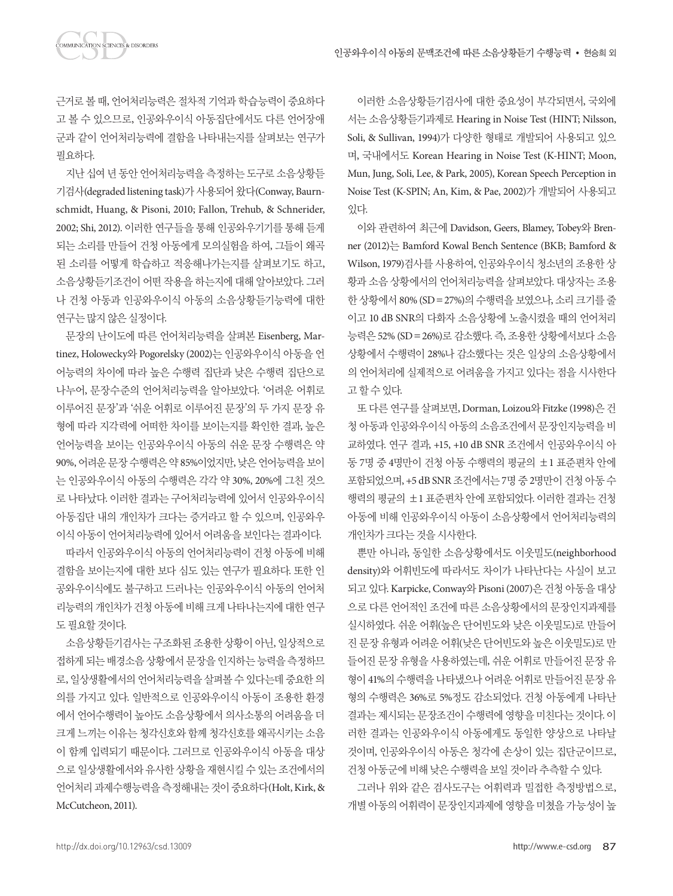근거로 볼 때, 언어처리능력은 절차적 기억과 학습능력이 중요하다 고 볼 수 있으므로, 인공와우이식 아동집단에서도 다른 언어장애 군과 같이 언어처리능력에 결함을 나타내는지를 살펴보는 연구가 필요하다.

지난 십여 년 동안 언어처리능력을 측정하는 도구로 소음상황듣 기검사(degraded listening task)가 사용되어 왔다(Conway, Baurnschmidt, Huang, & Pisoni, 2010; Fallon, Trehub, & Schnerider, 2002; Shi, 2012). 이러한 연구들을 통해 인공와우기기를 통해 듣게 되는 소리를 만들어 건청 아동에게 모의실험을 하여, 그들이 왜곡 된 소리를 어떻게 학습하고 적응해나가는지를 살펴보기도 하고, 소음상황듣기조건이 어떤 작용을 하는지에 대해 알아보았다. 그러 나 건청 아동과 인공와우이식 아동의 소음상황듣기능력에 대한 연구는 많지 않은 실정이다.

문장의 난이도에 따른 언어처리능력을 살펴본 Eisenberg, Martinez, Holowecky와 Pogorelsky (2002)는 인공와우이식 아동을 언 어능력의 차이에 따라 높은 수행력 집단과 낮은 수행력 집단으로 나누어, 문장수준의 언어처리능력을 알아보았다. '어려운 어휘로 이루어진 문장'과 '쉬운 어휘로 이루어진 문장'의 두 가지 문장 유 형에 따라 지각력에 어떠한 차이를 보이는지를 확인한 결과, 높은 언어능력을 보이는 인공와우이식 아동의 쉬운 문장 수행력은 약 90%, 어려운 문장 수행력은 약 85%이었지만, 낮은 언어능력을 보이 는 인공와우이식 아동의 수행력은 각각 약 30%, 20%에 그친 것으 로 나타났다. 이러한 결과는 구어처리능력에 있어서 인공와우이식 아동집단 내의 개인차가 크다는 증거라고 할 수 있으며, 인공와우 이식 아동이 언어처리능력에 있어서 어려움을 보인다는 결과이다.

따라서 인공와우이식 아동의 언어처리능력이 건청 아동에 비해 결함을 보이는지에 대한 보다 심도 있는 연구가 필요하다. 또한 인 공와우이식에도 불구하고 드러나는 인공와우이식 아동의 언어처 리능력의 개인차가 건청 아동에 비해 크게 나타나는지에 대한 연구 도필요할것이다.

소음상황듣기검사는 구조화된 조용한 상황이 아닌, 일상적으로 접하게 되는 배경소음 상황에서 문장을 인지하는 능력을 측정하므 로, 일상생활에서의 언어처리능력을 살펴볼 수 있다는데 중요한 의 의를 가지고 있다. 일반적으로 인공와우이식 아동이 조용한 환경 에서 언어수행력이 높아도 소음상황에서 의사소통의 어려움을 더 크게 느끼는 이유는 청각신호와 함께 청각신호를 왜곡시키는 소음 이 함께 입력되기 때문이다. 그러므로 인공와우이식 아동을 대상 으로 일상생활에서와 유사한 상황을 재현시킬 수 있는 조건에서의 언어처리 과제수행능력을 측정해내는 것이 중요하다(Holt, Kirk, & McCutcheon, 2011).

이러한 소음상황듣기검사에 대한 중요성이 부각되면서, 국외에 서는 소음상황듣기과제로 Hearing in Noise Test (HINT; Nilsson, Soli, & Sullivan, 1994)가 다양한 형태로 개발되어 사용되고 있으 며, 국내에서도 Korean Hearing in Noise Test (K-HINT; Moon, Mun, Jung, Soli, Lee, & Park, 2005), Korean Speech Perception in Noise Test (K-SPIN; An, Kim, & Pae, 2002)가 개발되어 사용되고 있다.

이와 관련하여 최근에 Davidson, Geers, Blamey, Tobey와 Brenner (2012)는 Bamford Kowal Bench Sentence (BKB; Bamford & Wilson, 1979)검사를 사용하여, 인공와우이식 청소년의 조용한 상 황과 소음 상황에서의 언어처리능력을 살펴보았다. 대상자는 조용 한 상황에서 80% (SD=27%)의 수행력을 보였으나, 소리 크기를 줄 이고 10 dB SNR의 다화자 소음상황에 노출시켰을 때의 언어처리 능력은 52% (SD=26%)로 감소했다. 즉, 조용한 상황에서보다 소음 상황에서 수행력이 28%나 감소했다는 것은 일상의 소음상황에서 의 언어처리에 실제적으로 어려움을 가지고 있다는 점을 시사한다 고할수있다.

또 다른 연구를 살펴보면, Dorman, Loizou와 Fitzke (1998)은 건 청 아동과 인공와우이식 아동의 소음조건에서 문장인지능력을 비 교하였다. 연구 결과, +15, +10 dB SNR 조건에서 인공와우이식 아 동 7명 중 4명만이 건청 아동 수행력의 평균의 ±1 표준편차 안에 포함되었으며, +5 dB SNR 조건에서는 7명 중 2명만이 건청 아동 수 행력의 평균의 ±1 표준편차 안에 포함되었다. 이러한 결과는 건청 아동에 비해 인공와우이식 아동이 소음상황에서 언어처리능력의 개인차가크다는것을시사한다.

뿐만 아니라, 동일한 소음상황에서도 이웃밀도(neighborhood density)와 어휘빈도에 따라서도 차이가 나타난다는 사실이 보고 되고 있다. Karpicke, Conway와 Pisoni (2007)은 건청 아동을 대상 으로 다른 언어적인 조건에 따른 소음상황에서의 문장인지과제를 실시하였다. 쉬운 어휘(높은 단어빈도와 낮은 이웃밀도)로 만들어 진 문장 유형과 어려운 어휘(낮은 단어빈도와 높은 이웃밀도)로 만 들어진 문장 유형을 사용하였는데, 쉬운 어휘로 만들어진 문장 유 형이 41%의 수행력을 나타냈으나 어려운 어휘로 만들어진 문장 유 형의 수행력은 36%로 5%정도 감소되었다. 건청 아동에게 나타난 결과는 제시되는 문장조건이 수행력에 영향을 미친다는 것이다. 이 러한 결과는 인공와우이식 아동에게도 동일한 양상으로 나타날 것이며, 인공와우이식 아동은 청각에 손상이 있는 집단군이므로, 건청아동군에비해낮은수행력을보일것이라추측할수있다.

그러나 위와 같은 검사도구는 어휘력과 밀접한 측정방법으로, 개별 아동의 어휘력이 문장인지과제에 영향을 미쳤을 가능성이 높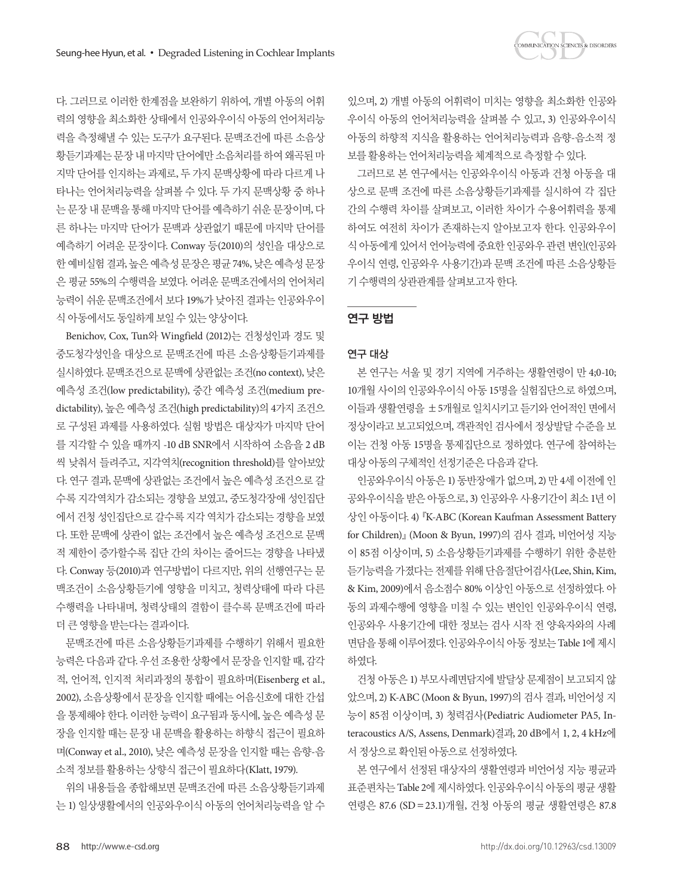

다. 그러므로 이러한 한계점을 보완하기 위하여, 개별 아동의 어휘 력의 영향을 최소화한 상태에서 인공와우이식 아동의 언어처리능 력을 측정해낼 수 있는 도구가 요구된다. 문맥조건에 따른 소음상 황듣기과제는 문장 내 마지막 다어에만 소음처리를 하여 왜곡된 마 지막 단어를 인지하는 과제로, 두 가지 문맥상황에 따라 다르게 나 타나는 언어처리능력을 살펴볼 수 있다. 두 가지 문맥상황 중 하나 는 문장 내 문맥을 통해 마지막 단어를 예측하기 쉬운 문장이며, 다 른 하나는 마지막 단어가 문맥과 상관없기 때문에 마지막 단어를 예측하기 어려운 문장이다. Conway 등(2010)의 성인을 대상으로 한 예비실험 결과, 높은 예측성 문장은 평균 74%, 낮은 예측성 문장 은 평균 55%의 수행력을 보였다. 어려운 문맥조건에서의 언어처리 능력이 쉬운 문맥조건에서 보다 19%가 낮아진 결과는 인공와우이 식아동에서도동일하게보일수있는양상이다.

Benichov, Cox, Tun와 Wingfield (2012)는 건청성인과 경도 및 중도청각성인을 대상으로 문맥조건에 따른 소음상황듣기과제를 실시하였다. 문맥조건으로 문맥에 상관없는 조건(no context), 낮은 예측성 조건(low predictability), 중간 예측성 조건(medium predictability), 높은 예측성 조건(high predictability)의 4가지 조건으 로 구성된 과제를 사용하였다. 실험 방법은 대상자가 마지막 단어 를 지각할 수 있을 때까지 -10 dB SNR에서 시작하여 소음을 2 dB 씩 낮춰서 들려주고, 지각역치(recognition threshold)를 알아보았 다. 연구 결과, 문맥에 상관없는 조건에서 높은 예측성 조건으로 갈 수록 지각역치가 감소되는 경향을 보였고, 중도청각장애 성인집단 에서 건청 성인집단으로 갈수록 지각 역치가 감소되는 경향을 보였 다. 또한 문맥에 상관이 없는 조건에서 높은 예측성 조건으로 문맥 적 제한이 증가할수록 집단 간의 차이는 줄어드는 경향을 나타냈 다. Conway 등(2010)과 연구방법이 다르지만, 위의 선행연구는 문 맥조건이 소음상황듣기에 영향을 미치고, 청력상태에 따라 다른 수행력을 나타내며, 청력상태의 결함이 클수록 문맥조건에 따라 더큰영향을받는다는결과이다.

문맥조건에 따른 소음상황듣기과제를 수행하기 위해서 필요한 능력은 다음과 같다. 우선 조용한 상황에서 문장을 인지할 때, 감각 적, 언어적, 인지적 처리과정의 통합이 필요하며(Eisenberg et al., 2002), 소음상황에서 문장을 인지할 때에는 어음신호에 대한 간섭 을 통제해야 한다. 이러한 능력이 요구됨과 동시에, 높은 예측성 문 장을 인지할 때는 문장 내 문맥을 활용하는 하향식 접근이 필요하 며(Conway et al., 2010), 낮은 예측성 문장을 인지할 때는 음향-음 소적 정보를 활용하는 상향식 접근이 필요하다(Klatt, 1979).

위의 내용들을 종합해보면 문맥조건에 따른 소음상황듣기과제 는 1) 일상생활에서의 인공와우이식 아동의 언어처리능력을 알 수

있으며, 2) 개별 아동의 어휘력이 미치는 영향을 최소화한 인공와 우이식 아동의 언어처리능력을 살펴볼 수 있고, 3) 인공와우이식 아동의 하향적 지식을 활용하는 언어처리능력과 음향-음소적 정 보를 활용하는 언어처리능력을 체계적으로 측정할 수 있다.

그러므로 본 연구에서는 인공와우이식 아동과 건청 아동을 대 상으로 문맥 조건에 따른 소음상황듣기과제를 실시하여 각 집단 간의 수행력 차이를 살펴보고, 이러한 차이가 수용어휘력을 통제 하여도 여전히 차이가 존재하는지 알아보고자 한다. 인공와우이 식 아동에게 있어서 언어능력에 중요한 인공와우 관련 변인(인공와 우이식 연령, 인공와우 사용기간)과 문맥 조건에 따른 소음상황듣 기수행력의상관관계를살펴보고자한다.

# 연구 방법

## 연구 대상

본 연구는 서울 및 경기 지역에 거주하는 생활연령이 만 4;0-10; 10개월 사이의 인공와우이식 아동 15명을 실험집단으로 하였으며, 이들과 생활연령을 ±5개월로 일치시키고 듣기와 언어적인 면에서 정상이라고 보고되었으며, 객관적인 검사에서 정상발달 수준을 보 이는 건청 아동 15명을 통제집단으로 정하였다. 연구에 참여하는 대상아동의구체적인선정기준은다음과같다.

인공와우이식 아동은 1) 동반장애가 없으며, 2) 만 4세 이전에 인 공와우이식을 받은 아동으로, 3) 인공와우 사용기간이 최소 1년 이 상인 아동이다. 4)『K-ABC (Korean Kaufman Assessment Battery for Children)』(Moon & Byun, 1997)의 검사 결과, 비언어성 지능 이 85점 이상이며, 5) 소음상황듣기과제를 수행하기 위한 충분한 듣기능력을 가졌다는 전제를 위해 단음절단어검사(Lee, Shin, Kim, & Kim, 2009)에서 음소점수 80% 이상인 아동으로 선정하였다. 아 동의 과제수행에 영향을 미칠 수 있는 변인인 인공와우이식 연령, 인공와우 사용기간에 대한 정보는 검사 시작 전 양육자와의 사례 면담을 통해 이루어졌다. 인공와우이식 아동 정보는 Table 1에 제시 하였다.

건청 아동은 1) 부모사례면담지에 발달상 문제점이 보고되지 않 았으며, 2) K-ABC (Moon & Byun, 1997)의 검사 결과, 비언어성 지 능이 85점 이상이며, 3) 청력검사(Pediatric Audiometer PA5, Interacoustics A/S, Assens, Denmark)결과, 20 dB에서 1, 2, 4 kHz에 서 정상으로 확인된 아동으로 선정하였다.

본 연구에서 선정된 대상자의 생활연령과 비언어성 지능 평균과 표준편차는 Table 2에 제시하였다. 인공와우이식 아동의 평균 생활 연령은 87.6 (SD =23.1)개월, 건청 아동의 평균 생활연령은 87.8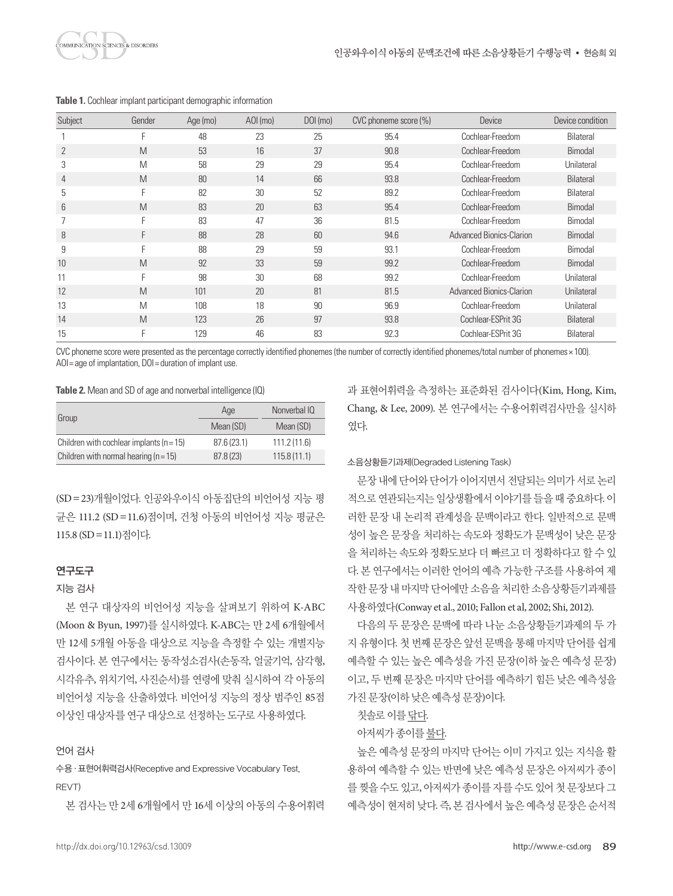

| Subject | Gender | Age (mo) | $AOL$ (mo) | DOI (mo) | CVC phoneme score (%) | Device                          | Device condition |
|---------|--------|----------|------------|----------|-----------------------|---------------------------------|------------------|
|         | F      | 48       | 23         | 25       | 95.4                  | Cochlear-Freedom                | Bilateral        |
| 2       | M      | 53       | 16         | 37       | 90.8                  | Cochlear-Freedom                | Bimodal          |
| 3       | M      | 58       | 29         | 29       | 95.4                  | Cochlear-Freedom                | Unilateral       |
| 4       | M      | 80       | 14         | 66       | 93.8                  | Cochlear-Freedom                | Bilateral        |
| 5       | F      | 82       | 30         | 52       | 89.2                  | Cochlear-Freedom                | Bilateral        |
| 6       | M      | 83       | 20         | 63       | 95.4                  | Cochlear-Freedom                | Bimodal          |
|         | F      | 83       | 47         | 36       | 81.5                  | Cochlear-Freedom                | Bimodal          |
| 8       | F      | 88       | 28         | 60       | 94.6                  | Advanced Bionics-Clarion        | Bimodal          |
| 9       | F      | 88       | 29         | 59       | 93.1                  | Cochlear-Freedom                | Bimodal          |
| 10      | M      | 92       | 33         | 59       | 99.2                  | Cochlear-Freedom                | Bimodal          |
| 11      | F      | 98       | 30         | 68       | 99.2                  | Cochlear-Freedom                | Unilateral       |
| 12      | M      | 101      | 20         | 81       | 81.5                  | <b>Advanced Bionics-Clarion</b> | Unilateral       |
| 13      | M      | 108      | 18         | 90       | 96.9                  | Cochlear-Freedom                | Unilateral       |
| 14      | M      | 123      | 26         | 97       | 93.8                  | Cochlear-ESPrit 3G              | Bilateral        |
| 15      | F      | 129      | 46         | 83       | 92.3                  | Cochlear-ESPrit 3G              | Bilateral        |

**Table 1.** Cochlear implant participant demographic information

CVC phoneme score were presented as the percentage correctly identified phonemes (the number of correctly identified phonemes/total number of phonemes× 100). AOI = age of implantation, DOI = duration of implant use.

#### **Table 2.** Mean and SD of age and nonverbal intelligence (IQ)

|                                              | Age         | Nonverbal IQ |  |
|----------------------------------------------|-------------|--------------|--|
| Group                                        | Mean (SD)   | Mean (SD)    |  |
| Children with cochlear implants ( $n = 15$ ) | 87.6 (23.1) | 111.2(11.6)  |  |
| Children with normal hearing $(n = 15)$      | 87.8(23)    | 115.8(11.1)  |  |

(SD=23)개월이었다. 인공와우이식 아동집단의 비언어성 지능 평 균은 111.2 (SD=11.6)점이며, 건청 아동의 비언어성 지능 평균은 115.8 (SD=11.1)점이다.

## 연구도구

#### 지능 검사

본 연구 대상자의 비언어성 지능을 살펴보기 위하여 K-ABC (Moon & Byun, 1997)를 실시하였다. K-ABC는 만 2세 6개월에서 만 12세 5개월 아동을 대상으로 지능을 측정할 수 있는 개별지능 검사이다. 본 연구에서는 동작성소검사(손동작, 얼굴기억, 삼각형, 시각유추, 위치기억, 사진순서)를 연령에 맞춰 실시하여 각 아동의 비언어성 지능을 산출하였다. 비언어성 지능의 정상 범주인 85점 이상인 대상자를 연구 대상으로 선정하는 도구로 사용하였다.

#### 언어 검사

# 수용·표현어휘력검사(Receptive and Expressive Vocabulary Test, REVT)

본 검사는 만 2세 6개월에서 만 16세 이상의 아동의 수용어휘력

과 표현어휘력을 측정하는 표준화된 검사이다(Kim, Hong, Kim, Chang, & Lee, 2009). 본 연구에서는 수용어휘력검사만을 실시하 였다.

#### 소음상황듣기과제(Degraded Listening Task)

문장 내에 다어와 다어가 이어지면서 전달되는 의미가 서로 논리 적으로연관되는지는일상생활에서이야기를들을때중요하다. 이 러한 문장 내 논리적 관계성을 문맥이라고 한다. 일반적으로 문맥 성이 높은 문장을 처리하는 속도와 정확도가 문맥성이 낮은 문장 을 처리하는 속도와 정확도보다 더 빠르고 더 정확하다고 할 수 있 다. 본 연구에서는 이러한 언어의 예측 가능한 구조를 사용하여 제 작한문장내마지막단어에만소음을처리한소음상황듣기과제를 사용하였다(Conway et al., 2010; Fallon et al, 2002; Shi, 2012).

다음의 두 문장은 문맥에 따라 나눈 소음상황듣기과제의 두 가 지 유형이다. 첫 번째 문장은 앞선 문맥을 통해 마지막 단어를 쉽게 예측할 수 있는 높은 예측성을 가진 문장(이하 높은 예측성 문장) 이고, 두 번째 문장은 마지막 단어를 예측하기 힘든 낮은 예측성을 가진문장(이하낮은예측성문장)이다.

#### 칫솔로이를닦다.

#### 아저씨가 종이를 불다.

높은 예측성 문장의 마지막 단어는 이미 가지고 있는 지식을 활 용하여 예측할 수 있는 반면에 낮은 예측성 문장은 아저씨가 종이 를 찢을 수도 있고, 아저씨가 종이를 자를 수도 있어 첫 문장보다 그 예측성이 현저히 낮다. 즉, 본 검사에서 높은 예측성 문장은 순서적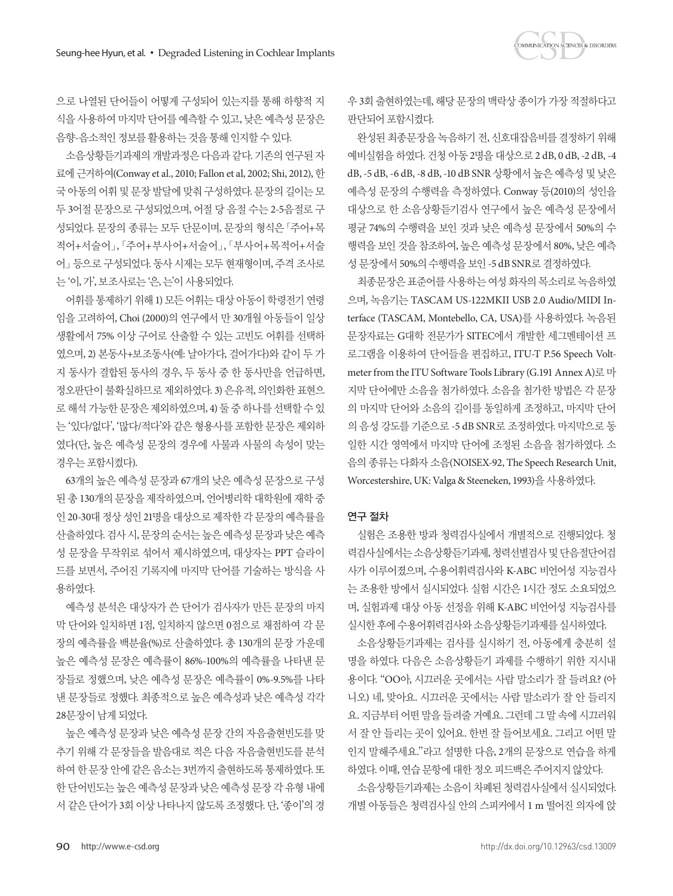으로 나열된 단어들이 어떻게 구성되어 있는지를 통해 하향적 지 식을 사용하여 마지막 단어를 예측할 수 있고, 낮은 예측성 문장은 음향-음소적인 정보를 활용하는 것을 통해 인지할 수 있다.

소음상황듣기과제의 개발과정은 다음과 같다. 기존의 연구된 자 료에 근거하여(Conway et al., 2010; Fallon et al, 2002; Shi, 2012), 한 국 아동의 어휘 및 문장 발달에 맞춰 구성하였다. 문장의 길이는 모 두 3어절 문장으로 구성되었으며, 어절 당 음절 수는 2-5음절로 구 성되었다. 문장의 종류는 모두 단문이며, 문장의 형식은「주어+목 적어+서술어」「, 주어+부사어+서술어」「, 부사어+목적어+서술 어」등으로 구성되었다. 동사 시제는 모두 현재형이며, 주격 조사로 는'이, 가', 보조사로는'은, 는'이사용되었다.

어휘를 통제하기 위해 1) 모든 어휘는 대상 아동이 학령전기 연령 임을 고려하여, Choi (2000)의 연구에서 만 30개월 아동들이 일상 생활에서 75% 이상 구어로 산출할 수 있는 고빈도 어휘를 선택하 였으며, 2) 본동사+보조동사(예: 날아가다, 걸어가다)와 같이 두 가 지 동사가 결합된 동사의 경우, 두 동사 중 한 동사만을 언급하면, 정오판단이 불확실하므로 제외하였다. 3) 은유적, 의인화한 표현으 로 해석 가능한 문장은 제외하였으며, 4) 둘 중 하나를 선택할 수 있 는 '있다/없다', '많다/적다'와 같은 형용사를 포함한 문장은 제외하 였다(단, 높은 예측성 문장의 경우에 사물과 사물의 속성이 맞는 경우는포함시켰다).

63개의 높은 예측성 문장과 67개의 낮은 예측성 문장으로 구성 된 총 130개의 문장을 제작하였으며, 언어병리학 대학원에 재학 중 인 20-30대 정상 성인 21명을 대상으로 제작한 각 문장의 예측률을 산출하였다. 검사 시, 문장의 순서는 높은 예측성 문장과 낮은 예측 성 문장을 무작위로 섞어서 제시하였으며, 대상자는 PPT 슬라이 드를 보면서, 주어진 기록지에 마지막 단어를 기술하는 방식을 사 용하였다.

예측성 분석은 대상자가 쓴 단어가 검사자가 만든 문장의 마지 막 단어와 일치하면 1점, 일치하지 않으면 0점으로 채점하여 각 문 장의 예측률을 백분율(%)로 산출하였다. 총 130개의 문장 가운데 높은 예측성 문장은 예측률이 86%-100%의 예측률을 나타낸 문 장들로 정했으며, 낮은 예측성 문장은 예측률이 0%-9.5%를 나타 낸 문장들로 정했다. 최종적으로 높은 예측성과 낮은 예측성 각각 28문장이남게되었다.

높은 예측성 문장과 낮은 예측성 문장 간의 자음출현빈도를 맞 추기 위해 각 문장들을 발음대로 적은 다음 자음출현빈도를 분석 하여 한 문장 안에 같은 음소는 3번까지 출현하도록 통제하였다. 또 한 단어빈도는 높은 예측성 문장과 낮은 예측성 문장 각 유형 내에 서 같은 단어가 3회 이상 나타나지 않도록 조정했다. 단, '종이'의 경 우 3회 출현하였는데, 해당 문장의 맥락상 종이가 가장 적절하다고 판단되어포함시켰다.

**COMMUNICATION SCIENCES & DISORDERS** 

완성된 최종문장을 녹음하기 전, 신호대잡음비를 결정하기 위해 예비실험을 하였다. 건청 아동 2명을 대상으로 2 dB, 0 dB, -2 dB, -4 dB, -5 dB, -6 dB, -8 dB, -10 dB SNR 상황에서 높은 예측성 및 낮은 예측성 문장의 수행력을 측정하였다. Conway 등(2010)의 성인을 대상으로 한 소음상황듣기검사 연구에서 높은 예측성 문장에서 평균 74%의 수행력을 보인 것과 낮은 예측성 문장에서 50%의 수 행력을 보인 것을 참조하여, 높은 예측성 문장에서 80%, 낮은 예측 성문장에서 50%의수행력을보인 -5 dB SNR로결정하였다.

최종문장은 표준어를 사용하는 여성 화자의 목소리로 녹음하였 으며, 녹음기는 TASCAM US-122MKII USB 2.0 Audio/MIDI Interface (TASCAM, Montebello, CA, USA)를 사용하였다. 녹음된 문장자료는 G대학 전문가가 SITEC에서 개발한 세그멘테이션 프 로그램을 이용하여 단어들을 편집하고, ITU-T P.56 Speech Voltmeter from the ITU Software Tools Library (G.191 Annex A)로 마 지막 단어에만 소음을 첨가하였다. 소음을 첨가한 방법은 각 문장 의 마지막 단어와 소음의 길이를 동일하게 조정하고, 마지막 단어 의 음성 강도를 기준으로 -5 dB SNR로 조정하였다. 마지막으로 동 일한 시간 영역에서 마지막 단어에 조정된 소음을 첨가하였다. 소 음의 종류는 다화자 소음(NOISEX-92, The Speech Research Unit, Worcestershire, UK: Valga & Steeneken, 1993)을사용하였다.

#### 연구 절차

실험은 조용한 방과 청력검사실에서 개별적으로 진행되었다. 청 력검사실에서는 소음상황듣기과제, 청력선별검사 및 단음절단어검 사가 이루어졌으며, 수용어휘력검사와 K-ABC 비언어성 지능검사 는 조용한 방에서 실시되었다. 실험 시간은 1시간 정도 소요되었으 며, 실험과제 대상 아동 선정을 위해 K-ABC 비언어성 지능검사를 실시한후에수용어휘력검사와소음상황듣기과제를실시하였다.

소음상황듣기과제는 검사를 실시하기 전, 아동에게 충분히 설 명을 하였다. 다음은 소음상황듣기 과제를 수행하기 위한 지시내 용이다. "OO아, 시끄러운 곳에서는 사람 말소리가 잘 들려요? (아 니오) 네, 맞아요. 시끄러운 곳에서는 사람 말소리가 잘 안 들리지 요. 지금부터 어떤 말을 들려줄 거예요. 그런데 그 말 속에 시끄러워 서 잘 안 들리는 곳이 있어요. 한번 잘 들어보세요. 그리고 어떤 말 인지 말해주세요."라고 설명한 다음, 2개의 문장으로 연습을 하게 하였다. 이때, 연습 문항에 대한 정오 피드백은 주어지지 않았다.

소음상황듣기과제는 소음이 차폐된 청력검사실에서 실시되었다. 개별 아동들은 청력검사실 안의 스피커에서 1 m 떨어진 의자에 앉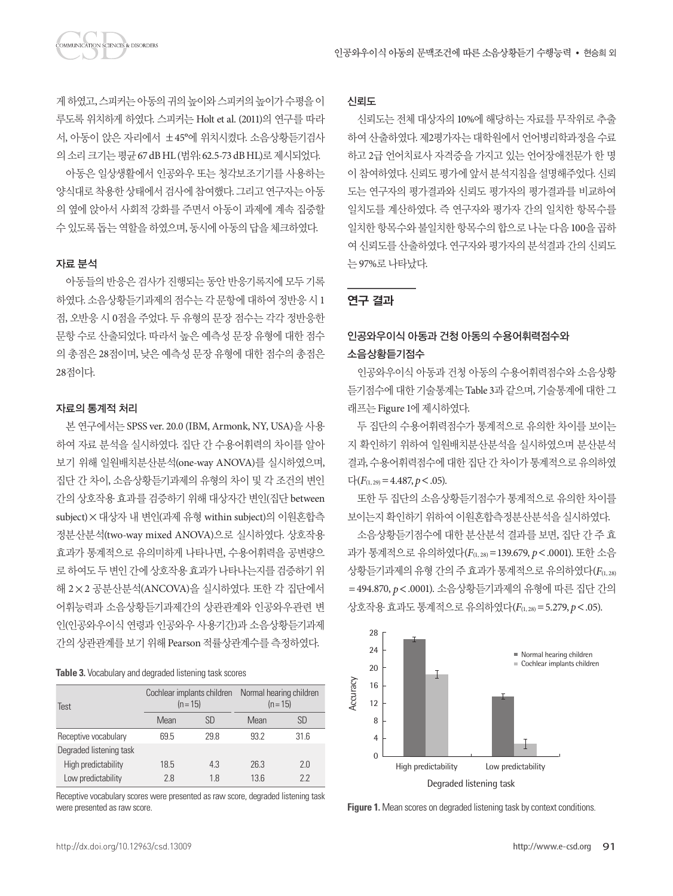**DMMUNICATION SCIENCES & DISORDERS** 

게하였고, 스피커는아동의귀의높이와스피커의높이가수평을이 루도록 위치하게 하였다. 스피커는 Holt et al. (2011)의 연구를 따라 서, 아동이 앉은 자리에서 ±45°에 위치시켰다. 소음상황듣기검사 의소리크기는평균 67 dB HL (범위: 62.5-73 dB HL)로제시되었다.

아동은 일상생활에서 인공와우 또는 청각보조기기를 사용하는 양식대로 착용한 상태에서 검사에 참여했다. 그리고 연구자는 아동 의 옆에 앉아서 사회적 강화를 주면서 아동이 과제에 계속 집중할 수 있도록 돕는 역할을 하였으며, 동시에 아동의 답을 체크하였다.

#### 자료 분석

아동들의 반응은 검사가 진행되는 동안 반응기록지에 모두 기록 하였다. 소음상황듣기과제의 점수는 각 문항에 대하여 정반응 시 1 점, 오반응 시 0점을 주었다. 두 유형의 문장 점수는 각각 정반응한 문항 수로 산출되었다. 따라서 높은 예측성 문장 유형에 대한 점수 의 총점은 28점이며, 낮은 예측성 문장 유형에 대한 점수의 총점은 28점이다.

#### 자료의 통계적 처리

본 연구에서는 SPSS ver. 20.0 (IBM, Armonk, NY, USA)을 사용 하여 자료 분석을 실시하였다. 집단 간 수용어휘력의 차이를 알아 보기 위해 일원배치분산분석(one-way ANOVA)를 실시하였으며, 집단 간 차이, 소음상황듣기과제의 유형의 차이 및 각 조건의 변인 간의 상호작용 효과를 검증하기 위해 대상자간 변인(집단 between subject)×대상자 내 변인(과제 유형 within subject)의 이원혼합측 정분산분석(two-way mixed ANOVA)으로 실시하였다. 상호작용 효과가 통계적으로 유의미하게 나타나면, 수용어휘력을 공변량으 로 하여도 두 변인 간에 상호작용 효과가 나타나는지를 검증하기 위 해 2×2 공분산분석(ANCOVA)을 실시하였다. 또한 각 집단에서 어휘능력과 소음상황듣기과제간의 상관관계와 인공와우관련 변 인(인공와우이식 연령과 인공와우 사용기간)과 소음상황듣기과제 간의상관관계를보기위해 Pearson 적률상관계수를측정하였다.

**Table 3.** Vocabulary and degraded listening task scores

| Test                    | $(n=15)$ | Cochlear implants children | Normal hearing children<br>$(n=15)$ |           |  |
|-------------------------|----------|----------------------------|-------------------------------------|-----------|--|
|                         | Mean     | <b>SD</b>                  | Mean                                | <b>SD</b> |  |
| Receptive vocabulary    | 69.5     | 29.8                       | 93.2                                | 31.6      |  |
| Degraded listening task |          |                            |                                     |           |  |
| High predictability     | 18.5     | 4.3                        | 26.3                                | 2.0       |  |
| Low predictability      | 2.8      | 1.8                        | 13.6                                | 22        |  |

Receptive vocabulary scores were presented as raw score, degraded listening task were presented as raw score.

## 신뢰도

신뢰도는 전체 대상자의 10%에 해당하는 자료를 무작위로 추출 하여 산출하였다. 제2평가자는 대학원에서 언어병리학과정을 수료 하고 2급 언어치료사 자격증을 가지고 있는 언어장애전문가 한 명 이 참여하였다. 신뢰도 평가에 앞서 부석지침을 설명해주었다. 신뢰 도는 연구자의 평가결과와 신뢰도 평가자의 평가결과를 비교하여 일치도를 계산하였다. 즉 연구자와 평가자 간의 일치한 항목수를 일치한 항목수와 불일치한 항목수의 합으로 나눈다음 100을 곱하 여 신뢰도를 산출하였다. 연구자와 평가자의 분석결과 간의 신뢰도 는 97%로나타났다.

## 연구 결과

# 인공와우이식 아동과 건청 아동의 수용어휘력점수와 소음상황듣기점수

인공와우이식 아동과 건청 아동의 수용어휘력점수와 소음상황 듣기점수에대한기술통계는 Table 3과같으며, 기술통계에대한그 래프는 Figure 1에제시하였다.

두 집단의 수용어휘력점수가 통계적으로 유의한 차이를 보이는 지 확인하기 위하여 일원배치분산분석을 실시하였으며 분산분석 결과, 수용어휘력점수에 대한 집단 간 차이가 통계적으로 유의하였  $\Gamma$ <sup>+</sup>(*F*<sub>(1, 29</sub>) = 4.487, *p* < .05).

또한 두 집단의 소음상황듣기점수가 통계적으로 유의한 차이를 보이는지확인하기위하여이원혼합측정분산분석을실시하였다.

소음상황듣기점수에 대한 분산분석 결과를 보면, 집단 간 주 효 과가 통계적으로 유의하였다( $F_{(1, 28)} = 139.679$ ,  $p < .0001$ ). 또한 소음 상황듣기과제의 유형 간의 주 효과가 통계적으로 유의하였다(F(1,28) =494.870, *p*<.0001). 소음상황듣기과제의 유형에 따른 집단 간의 상호작용 효과도 통계적으로 유의하였다( $F_{(1, 28)} = 5.279$ ,  $p < .05$ ).



**Figure 1.** Mean scores on degraded listening task by context conditions.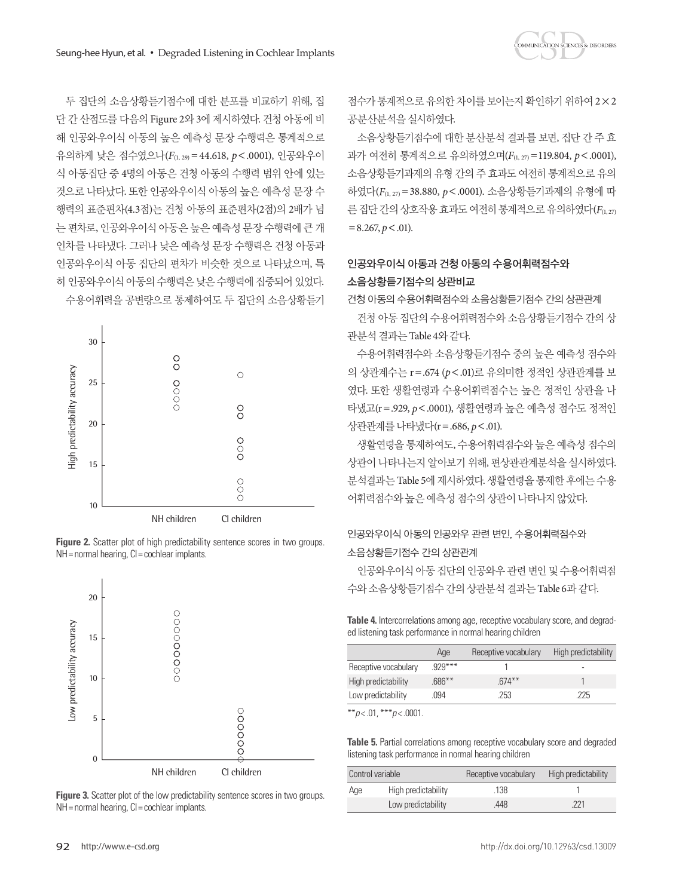두 집단의 소음상황듣기점수에 대한 분포를 비교하기 위해, 집 단 간 산점도를 다음의 Figure 2와 3에 제시하였다. 건청 아동에 비 해 인공와우이식 아동의 높은 예측성 문장 수행력은 통계적으로 유의하게 낮은 점수였으나(*F*(1, 29)=44.618, *p*<.0001), 인공와우이 식 아동집단 중 4명의 아동은 건청 아동의 수행력 범위 안에 있는 것으로 나타났다. 또한 인공와우이식 아동의 높은 예측성 문장 수 행력의 표준편차(4.3점)는 건청 아동의 표준편차(2점)의 2배가 넘 는 편차로, 인공와우이식 아동은 높은 예측성 문장 수행력에 큰 개 인차를 나타냈다. 그러나 낮은 예측성 문장 수행력은 건청 아동과 인공와우이식 아동 집단의 편차가 비슷한 것으로 나타났으며, 특 히 인공와우이식 아동의 수행력은 낮은 수행력에 집중되어 있었다. 수용어휘력을 공변량으로 통제하여도 두 집단의 소음상황듣기









점수가 통계적으로 유의한 차이를 보이는지 확인하기 위하여 2×2 공분산분석을실시하였다.

소음상황듣기점수에 대한 분산분석 결과를 보면, 집단 간 주 효 과가 여전히 통계적으로 유의하였으며( $F_{(1, 27)} = 119.804$ ,  $p < .0001$ ), 소음상황듣기과제의 유형 간의 주 효과도 여전히 통계적으로 유의 하였다(*F*(1, 27)=38.880, *p*<.0001). 소음상황듣기과제의 유형에 따 른 집단 간의 상호작용 효과도 여전히 통계적으로 유의하였다(F(1,27)  $=8.267, p < .01$ ).

# 인공와우이식 아동과 건청 아동의 수용어휘력점수와 소음상황듣기점수의 상관비교

건청 아동의 수용어휘력점수와 소음상황듣기점수 간의 상관관계

건청 아동 집단의 수용어휘력점수와 소음상황듣기점수 간의 상 관분석결과는 Table 4와같다.

수용어휘력점수와 소음상황듣기점수 중의 높은 예측성 점수와 의 상관계수는 r=.674 (*p*<.01)로 유의미한 정적인 상관관계를 보 였다. 또한 생활연령과 수용어휘력점수는 높은 정적인 상관을 나 타냈고(r=.929, *p*<.0001), 생활연령과 높은 예측성 점수도 정적인 상관관계를나타냈다(r=.686, *p*<.01).

생활연령을 통제하여도, 수용어휘력점수와 높은 예측성 점수의 상관이 나타나는지 알아보기 위해, 편상관관계분석을 실시하였다. 분석결과는 Table 5에 제시하였다. 생활연령을 통제한 후에는 수용 어휘력점수와높은예측성점수의상관이나타나지않았다.

# 인공와우이식 아동의 인공와우 관련 변인, 수용어휘력점수와 소음상황듣기점수 간의 상관관계

인공와우이식 아동 집단의 인공와우 관련 변인 및 수용어휘력점 수와소음상황듣기점수간의상관분석결과는 Table 6과같다.

**Table 4.** Intercorrelations among age, receptive vocabulary score, and degraded listening task performance in normal hearing children

|                      | Age      | Receptive vocabulary | High predictability |
|----------------------|----------|----------------------|---------------------|
| Receptive vocabulary | $929***$ |                      | ۰                   |
| High predictability  | $.686**$ | $674**$              |                     |
| Low predictability   | .094     | .253                 | 225                 |

\*\**p* < .01, \*\*\**p* < .0001.

**Table 5.** Partial correlations among receptive vocabulary score and degraded listening task performance in normal hearing children

| Control variable |                     | Receptive vocabulary | High predictability |
|------------------|---------------------|----------------------|---------------------|
| Age              | High predictability | .138                 |                     |
|                  | Low predictability  | .448                 | 221                 |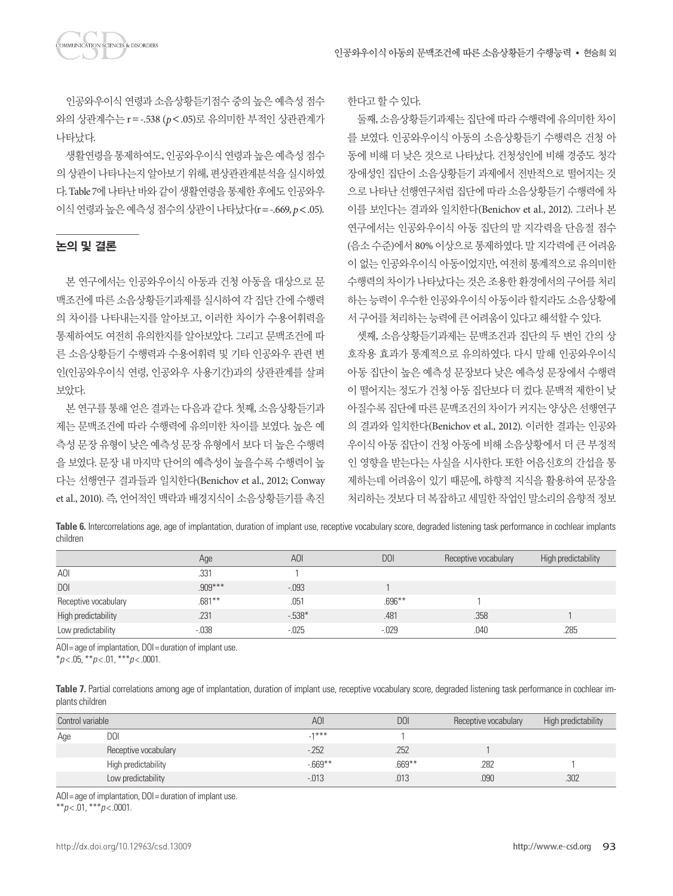인공와우이식 연령과 소음상황듣기점수 중의 높은 예측성 점수 와의 상관계수는 r=-.538 (*p*<.05)로 유의미한 부적인 상관관계가 나타났다.

생활연령을 통제하여도, 인공와우이식 연령과 높은 예측성 점수 의 상관이 나타나는지 알아보기 위해, 편상관관계분석을 실시하였 다. Table 7에 나타난 바와 같이 생활연령을 통제한 후에도 인공와우 이식연령과높은예측성점수의상관이나타났다(r=-.669, *p*<.05).

#### 논의 및 결론

본 연구에서는 인공와우이식 아동과 건청 아동을 대상으로 문 맥조건에 따른 소음상황듣기과제를 실시하여 각 집단 간에 수행력 의 차이를 나타내는지를 알아보고, 이러한 차이가 수용어휘력을 통제하여도 여전히 유의한지를 알아보았다. 그리고 문맥조건에 따 른 소음상황듣기 수행력과 수용어휘력 및 기타 인공와우 관련 변 인(인공와우이식 연령, 인공와우 사용기간)과의 상관관계를 살펴 보았다.

본 연구를 통해 얻은 결과는 다음과 같다. 첫째, 소음상황듣기과 제는 문맥조건에 따라 수행력에 유의미한 차이를 보였다. 높은 예 측성 문장 유형이 낮은 예측성 문장 유형에서 보다 더 높은 수행력 을 보였다. 문장 내 마지막 단어의 예측성이 높을수록 수행력이 높 다는 선행연구 결과들과 일치한다(Benichov et al., 2012; Conway et al., 2010). 즉, 언어적인 맥락과 배경지식이 소음상황듣기를 촉진 한다고할수있다.

둘째, 소음상황듣기과제는 집단에 따라 수행력에 유의미한 차이 를 보였다. 인공와우이식 아동의 소음상황듣기 수행력은 건청 아 동에 비해 더 낮은 것으로 나타났다. 건청성인에 비해 경중도 청각 장애성인 집단이 소음상황듣기 과제에서 전반적으로 떨어지는 것 으로 나타난 선행연구처럼 집단에 따라 소음상황듣기 수행력에 차 이를 보인다는 결과와 일치한다(Benichov et al., 2012). 그러나 본 연구에서는 인공와우이식 아동 집단의 말 지각력을 단음절 점수 (음소 수준)에서 80% 이상으로 통제하였다. 말 지각력에 큰 어려움 이 없는 인공와우이식 아동이었지만, 여전히 통계적으로 유의미한 수행력의 차이가 나타났다는 것은 조용한 환경에서의 구어를 처리 하는 능력이 우수한 인공와우이식 아동이라 할지라도 소음상황에

서 구어를 처리하는 능력에 큰 어려움이 있다고 해석할 수 있다. 셋째, 소음상황듣기과제는 문맥조건과 집단의 두 변인 간의 상 호작용 효과가 통계적으로 유의하였다. 다시 말해 인공와우이식 아동 집단이 높은 예측성 문장보다 낮은 예측성 문장에서 수행력 이 떨어지는 정도가 건청 아동 집단보다 더 컸다. 문맥적 제한이 낮 아질수록 집단에 따른 문맥조건의 차이가 커지는 양상은 선행연구 의 결과와 일치한다(Benichov et al., 2012). 이러한 결과는 인공와 우이식 아동 집단이 건청 아동에 비해 소음상황에서 더 큰 부정적 인 영향을 받는다는 사실을 시사한다. 또한 어음신호의 간섭을 통 제하는데 어려움이 있기 때문에, 하향적 지식을 활용하여 문장을 처리하는 것보다 더 복잡하고 세밀한 작업인 말소리의 음향적 정보

**Table 6.** Intercorrelations age, age of implantation, duration of implant use, receptive vocabulary score, degraded listening task performance in cochlear implants children

|                      | Age       | <b>AOI</b> | <b>DOI</b> | Receptive vocabulary | High predictability |
|----------------------|-----------|------------|------------|----------------------|---------------------|
| <b>AOI</b>           | .331      |            |            |                      |                     |
| <b>DOI</b>           | $.909***$ | $-0.093$   |            |                      |                     |
| Receptive vocabulary | $.681***$ | .051       | $.696***$  |                      |                     |
| High predictability  | .231      | $-538*$    | .481       | .358                 |                     |
| Low predictability   | $-0.038$  | $-0.025$   | $-0.029$   | .040                 | .285                |

AOI= age of implantation, DOI= duration of implant use.

\**p* < .05, \*\**p* < .01, \*\*\**p* < .0001.

|                 |  | Table 7. Partial correlations among age of implantation, duration of implant use, receptive vocabulary score, degraded listening task performance in cochlear im- |  |  |  |
|-----------------|--|-------------------------------------------------------------------------------------------------------------------------------------------------------------------|--|--|--|
| plants children |  |                                                                                                                                                                   |  |  |  |

| Control variable |                      | <b>AOI</b> | DOI       | Receptive vocabulary | High predictability |
|------------------|----------------------|------------|-----------|----------------------|---------------------|
| Age              | <b>DOI</b>           | $1***$     |           |                      |                     |
|                  | Receptive vocabulary | $-252$     | .252      |                      |                     |
|                  | High predictability  | $-669**$   | $.669***$ | 282                  |                     |
|                  | Low predictability   | $-0.013$   | .013      | .090                 | .302                |

AOI = age of implantation, DOI = duration of implant use.

\*\**p* < .01, \*\*\**p* < .0001.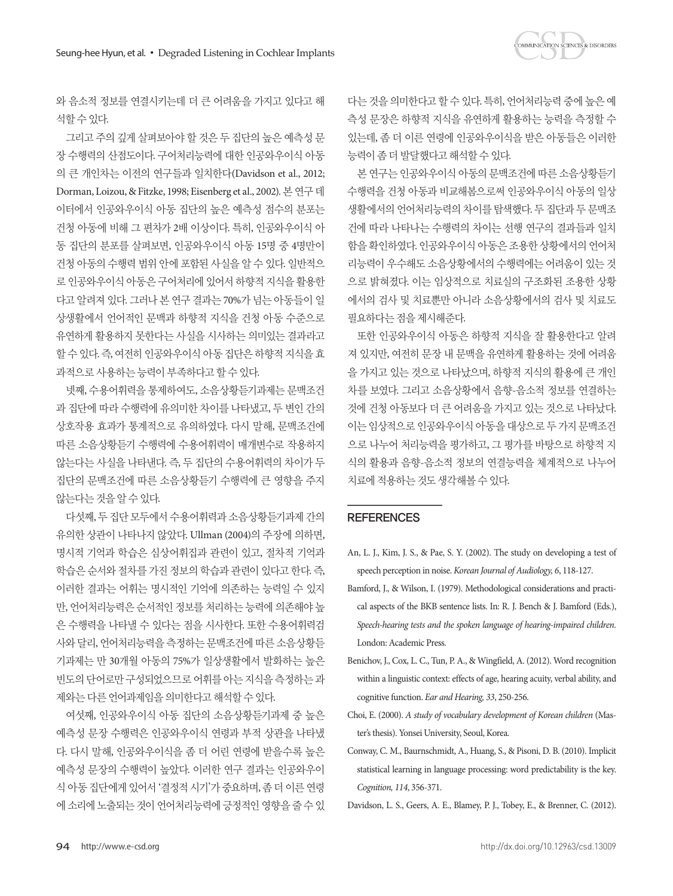와 음소적 정보를 연결시키는데 더 큰 어려움을 가지고 있다고 해 석할수있다.

그리고 주의 깊게 살펴보아야 할 것은 두 집단의 높은 예측성 문 장 수행력의 산점도이다. 구어처리능력에 대한 인공와우이식 아동 의 큰 개인차는 이전의 연구들과 일치한다(Davidson et al., 2012; Dorman, Loizou, & Fitzke, 1998; Eisenberg et al., 2002). 본 연구 데 이터에서 인공와우이식 아동 집단의 높은 예측성 점수의 분포는 건청 아동에 비해 그 편차가 2배 이상이다. 특히, 인공와우이식 아 동 집단의 분포를 살펴보면, 인공와우이식 아동 15명 중 4명만이 건청 아동의 수행력 범위 안에 포함된 사실을 알 수 있다. 일반적으 로 인공와우이식 아동은 구어처리에 있어서 하향적 지식을 활용한 다고 알려져 있다. 그러나 본 연구 결과는 70%가 넘는 아동들이 일 상생활에서 언어적인 문맥과 하향적 지식을 건청 아동 수준으로 유연하게 활용하지 못한다는 사실을 시사하는 의미있는 결과라고 할 수 있다. 즉, 여전히 인공와우이식 아동 집단은 하향적 지식을 효 과적으로사용하는능력이부족하다고할수있다.

넷째, 수용어휘력을 통제하여도, 소음상황듣기과제는 문맥조건 과 집단에 따라 수행력에 유의미한 차이를 나타냈고, 두 변인 간의 상호작용 효과가 통계적으로 유의하였다. 다시 말해, 문맥조건에 따른 소음상황듣기 수행력에 수용어휘력이 매개변수로 작용하지 않는다는 사실을 나타낸다. 즉, 두 집단의 수용어휘력의 차이가 두 집단의 문맥조건에 따른 소음상황듣기 수행력에 큰 영향을 주지 않는다는것을알수있다.

다섯째, 두 집단 모두에서 수용어휘력과 소음상황듣기과제 간의 유의한 상관이 나타나지 않았다. Ullman (2004)의 주장에 의하면, 명시적 기억과 학습은 심상어휘집과 관련이 있고, 절차적 기억과 학습은 순서와 절차를 가진 정보의 학습과 관련이 있다고 한다. 즉, 이러한 결과는 어휘는 명시적인 기억에 의존하는 능력일 수 있지 만, 언어처리능력은 순서적인 정보를 처리하는 능력에 의존해야 높 은 수행력을 나타낼 수 있다는 점을 시사한다. 또한 수용어휘력검 사와 달리, 언어처리능력을 측정하는 문맥조건에 따른 소음상황듣 기과제는 만 30개월 아동의 75%가 일상생활에서 발화하는 높은 빈도의 단어로만 구성되었으므로 어휘를 아는 지식을 측정하는 과 제와는 다른 언어과제임을 의미한다고 해석할 수 있다.

여섯째, 인공와우이식 아동 집단의 소음상황듣기과제 중 높은 예측성 문장 수행력은 인공와우이식 연령과 부적 상관을 나타냈 다. 다시 말해, 인공와우이식을 좀 더 어린 연령에 받을수록 높은 예측성 문장의 수행력이 높았다. 이러한 연구 결과는 인공와우이 식아동집단에게있어서'결정적시기'가중요하며, 좀더이른연령 에 소리에 노출되는 것이 언어처리능력에 긍정적인 영향을 줄 수 있

다는 것을 의미한다고 할 수 있다. 특히, 언어처리능력 중에 높은 예 측성 문장은 하향적 지식을 유연하게 활용하는 능력을 측정할 수 있는데, 좀 더 이른 연령에 인공와우이식을 받은 아동들은 이러한 능력이좀더발달했다고해석할수있다.

**COMMUNICATION SCIENCES & DISORDERS** 

본 연구는 인공와우이식 아동의 문맥조건에 따른 소음상황듣기 수행력을 건청 아동과 비교해봄으로써 인공와우이식 아동의 일상 생활에서의 언어처리능력의 차이를 탐색했다. 두 집단과 두 문맥조 건에 따라 나타나는 수행력의 차이는 선행 연구의 결과들과 일치 함을 확인하였다. 인공와우이식 아동은 조용한 상황에서의 언어처 리능력이 우수해도 소음상황에서의 수행력에는 어려움이 있는 것 으로 밝혀졌다. 이는 임상적으로 치료실의 구조화된 조용한 상황 에서의 검사 및 치료뿐만 아니라 소음상황에서의 검사 및 치료도 필요하다는 점을 제시해준다.

또한 인공와우이식 아동은 하향적 지식을 잘 활용한다고 알려 져 있지만, 여전히 문장 내 문맥을 유연하게 활용하는 것에 어려움 을 가지고 있는 것으로 나타났으며, 하향적 지식의 활용에 큰 개인 차를 보였다. 그리고 소음상황에서 음향-음소적 정보를 연결하는 것에 건청 아동보다 더 큰 어려움을 가지고 있는 것으로 나타났다. 이는임상적으로인공와우이식아동을대상으로두가지문맥조건 으로 나누어 처리능력을 평가하고, 그 평가를 바탕으로 하향적 지 식의 활용과 음향-음소적 정보의 연결능력을 체계적으로 나누어 치료에적용하는것도생각해볼수있다.

#### **REFERENCES**

- An, L. J., Kim, J. S., & Pae, S. Y. (2002). The study on developing a test of speech perception in noise. *Korean Journal of Audiology, 6*, 118-127.
- Bamford, J., & Wilson, I. (1979). Methodological considerations and practical aspects of the BKB sentence lists. In: R. J. Bench & J. Bamford (Eds.), *Speech-hearing tests and the spoken language of hearing-impaired children.* London: Academic Press.
- Benichov, J., Cox, L. C., Tun, P. A., & Wingfield, A. (2012). Word recognition within a linguistic context: effects of age, hearing acuity, verbal ability, and cognitive function. *Ear and Hearing, 33*, 250-256.
- Choi, E. (2000). *A study of vocabulary development of Korean children* (Master's thesis). Yonsei University, Seoul, Korea.
- Conway, C. M., Baurnschmidt, A., Huang, S., & Pisoni, D. B. (2010). Implicit statistical learning in language processing: word predictability is the key. *Cognition, 114*, 356-371.
- Davidson, L. S., Geers, A. E., Blamey, P. J., Tobey, E., & Brenner, C. (2012).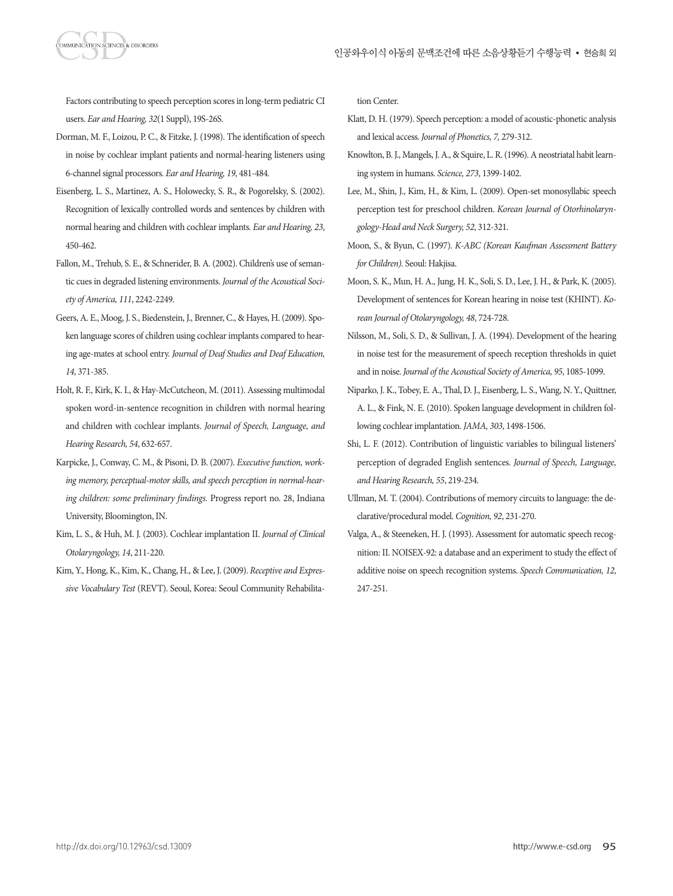Factors contributing to speech perception scores in long-term pediatric CI users. *Ear and Hearing, 32*(1 Suppl), 19S-26S.

- Dorman, M. F., Loizou, P. C., & Fitzke, J. (1998). The identification of speech in noise by cochlear implant patients and normal-hearing listeners using 6-channel signal processors. *Ear and Hearing, 19*, 481-484.
- Eisenberg, L. S., Martinez, A. S., Holowecky, S. R., & Pogorelsky, S. (2002). Recognition of lexically controlled words and sentences by children with normal hearing and children with cochlear implants. *Ear and Hearing, 23*, 450-462.
- Fallon, M., Trehub, S. E., & Schnerider, B. A. (2002). Children's use of semantic cues in degraded listening environments. *Journal of the Acoustical Society of America, 111*, 2242-2249.
- Geers, A. E., Moog, J. S., Biedenstein, J., Brenner, C., & Hayes, H. (2009). Spoken language scores of children using cochlear implants compared to hearing age-mates at school entry. *Journal of Deaf Studies and Deaf Education, 14*, 371-385.
- Holt, R. F., Kirk, K. I., & Hay-McCutcheon, M. (2011). Assessing multimodal spoken word-in-sentence recognition in children with normal hearing and children with cochlear implants. *Journal of Speech, Language, and Hearing Research, 54*, 632-657.
- Karpicke, J., Conway, C. M., & Pisoni, D. B. (2007). *Executive function, working memory, perceptual-motor skills, and speech perception in normal-hearing children: some preliminary findings.* Progress report no. 28, Indiana University, Bloomington, IN.
- Kim, L. S., & Huh, M. J. (2003). Cochlear implantation II. *Journal of Clinical Otolaryngology, 14*, 211-220.
- Kim, Y., Hong, K., Kim, K., Chang, H., & Lee, J. (2009). *Receptive and Expressive Vocabulary Test* (REVT). Seoul, Korea: Seoul Community Rehabilita-

tion Center.

- Klatt, D. H. (1979). Speech perception: a model of acoustic-phonetic analysis and lexical access. *Journal of Phonetics, 7,* 279-312.
- Knowlton, B. J., Mangels, J. A., & Squire, L. R. (1996). A neostriatal habit learning system in humans. *Science, 273*, 1399-1402.
- Lee, M., Shin, J., Kim, H., & Kim, L. (2009). Open-set monosyllabic speech perception test for preschool children. *Korean Journal of Otorhinolaryngology-Head and Neck Surgery, 52*, 312-321.
- Moon, S., & Byun, C. (1997). *K-ABC (Korean Kaufman Assessment Battery for Children).* Seoul: Hakjisa.
- Moon, S. K., Mun, H. A., Jung, H. K., Soli, S. D., Lee, J. H., & Park, K. (2005). Development of sentences for Korean hearing in noise test (KHINT). *Korean Journal of Otolaryngology, 48*, 724-728.
- Nilsson, M., Soli, S. D., & Sullivan, J. A. (1994). Development of the hearing in noise test for the measurement of speech reception thresholds in quiet and in noise. *Journal of the Acoustical Society of America, 95*, 1085-1099.
- Niparko, J. K., Tobey, E. A., Thal, D. J., Eisenberg, L. S., Wang, N. Y., Quittner, A. L., & Fink, N. E. (2010). Spoken language development in children following cochlear implantation. *JAMA, 303*, 1498-1506.
- Shi, L. F. (2012). Contribution of linguistic variables to bilingual listeners' perception of degraded English sentences. *Journal of Speech, Language, and Hearing Research, 55*, 219-234.
- Ullman, M. T. (2004). Contributions of memory circuits to language: the declarative/procedural model. *Cognition, 92*, 231-270.
- Valga, A., & Steeneken, H. J. (1993). Assessment for automatic speech recognition: II. NOISEX-92: a database and an experiment to study the effect of additive noise on speech recognition systems. *Speech Communication, 12*, 247-251.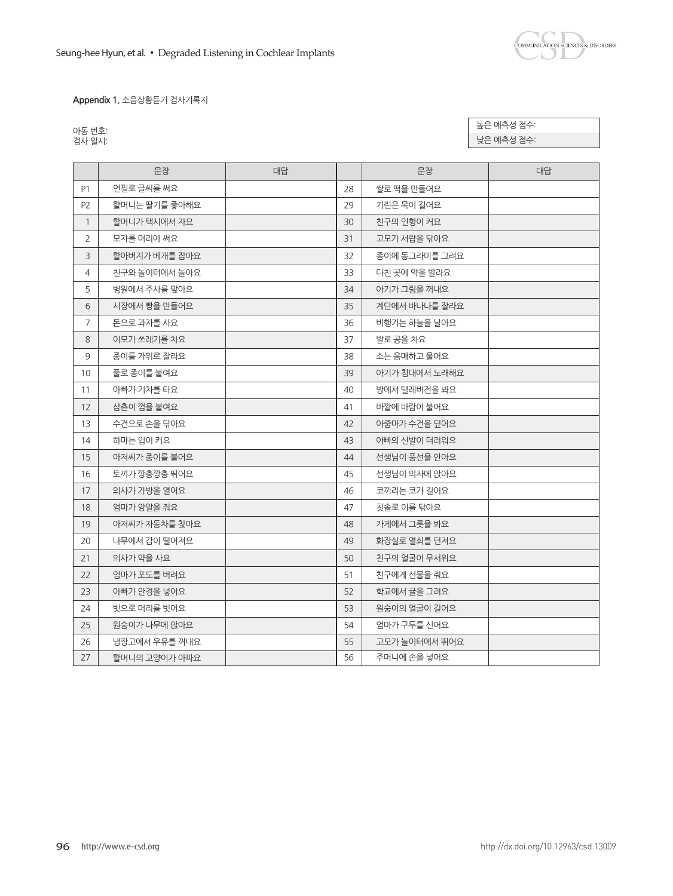

**Appendix 1.** 소음상황듣기 검사기록지

| 동번        |  |
|-----------|--|
| 사 일.<br>≥ |  |

높은 예측성 점수: 낮은 예측성 점수:

|                | 문장            | 대답 |    | 문장            | 대답 |
|----------------|---------------|----|----|---------------|----|
| P <sub>1</sub> | 연필로 글씨를 써요    |    | 28 | 쌀로 떡을 만들어요    |    |
| P <sub>2</sub> | 할머니는 딸기를 좋아해요 |    | 29 | 기린은 목이 길어요    |    |
| $\mathbf{1}$   | 할머니가 택시에서 자요  |    | 30 | 친구의 인형이 커요    |    |
| $\overline{2}$ | 모자를 머리에 써요    |    | 31 | 고모가 서랍을 닦아요   |    |
| 3              | 할아버지가 베개를 잡아요 |    | 32 | 종이에 동그라미를 그려요 |    |
| 4              | 친구와 놀이터에서 놀아요 |    | 33 | 다친 곳에 약을 발라요  |    |
| 5              | 병원에서 주사를 맞아요  |    | 34 | 아기가 그림을 꺼내요   |    |
| 6              | 시장에서 빵을 만들어요  |    | 35 | 계단에서 바나나를 잘라요 |    |
| 7              | 돈으로 과자를 사요    |    | 36 | 비행기는 하늘을 날아요  |    |
| 8              | 이모가 쓰레기를 차요   |    | 37 | 발로 공을 차요      |    |
| 9              | 종이를 가위로 잘라요   |    | 38 | 소는 음매하고 울어요   |    |
| 10             | 풀로 종이를 붙여요    |    | 39 | 아기가 침대에서 노래해요 |    |
| 11             | 아빠가 기차를 타요    |    | 40 | 방에서 텔레비전을 봐요  |    |
| 12             | 삼촌이 껌을 붙여요    |    | 41 | 바깥에 바람이 불어요   |    |
| 13             | 수건으로 손을 닦아요   |    | 42 | 아줌마가 수건을 덮어요  |    |
| 14             | 하마는 입이 커요     |    | 43 | 아빠의 신발이 더러워요  |    |
| 15             | 아저씨가 종이를 불어요  |    | 44 | 선생님이 풍선을 안아요  |    |
| 16             | 토끼가 깡충깡충 뛰어요  |    | 45 | 선생님이 의자에 앉아요  |    |
| 17             | 의사가 가방을 열어요   |    | 46 | 코끼리는 코가 길어요   |    |
| 18             | 엄마가 양말을 줘요    |    | 47 | 칫솔로 이를 닦아요    |    |
| 19             | 아저씨가 자동차를 찾아요 |    | 48 | 가게에서 그릇을 봐요   |    |
| 20             | 나무에서 감이 떨어져요  |    | 49 | 화장실로 열쇠를 던져요  |    |
| 21             | 의사가 약을 사요     |    | 50 | 친구의 얼굴이 무서워요  |    |
| 22             | 엄마가 포도를 버려요   |    | 51 | 친구에게 선물을 줘요   |    |
| 23             | 아빠가 안경을 넣어요   |    | 52 | 학교에서 귤을 그려요   |    |
| 24             | 빗으로 머리를 빗어요   |    | 53 | 원숭이의 얼굴이 길어요  |    |
| 25             | 원숭이가 나무에 앉아요  |    | 54 | 엄마가 구두를 신어요   |    |
| 26             | 냉장고에서 우유를 꺼내요 |    | 55 | 고모가 놀이터에서 뛰어요 |    |
| 27             | 할머니의 고양이가 아파요 |    | 56 | 주머니에 손을 넣어요   |    |